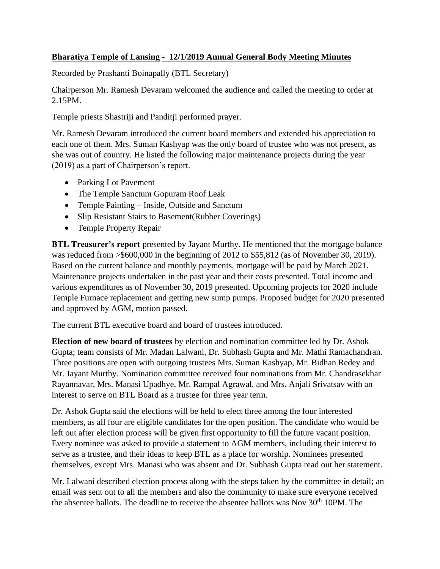## **Bharatiya Temple of Lansing - 12/1/2019 Annual General Body Meeting Minutes**

Recorded by Prashanti Boinapally (BTL Secretary)

Chairperson Mr. Ramesh Devaram welcomed the audience and called the meeting to order at 2.15PM.

Temple priests Shastriji and Panditji performed prayer.

Mr. Ramesh Devaram introduced the current board members and extended his appreciation to each one of them. Mrs. Suman Kashyap was the only board of trustee who was not present, as she was out of country. He listed the following major maintenance projects during the year (2019) as a part of Chairperson's report.

- Parking Lot Pavement
- The Temple Sanctum Gopuram Roof Leak
- Temple Painting Inside, Outside and Sanctum
- Slip Resistant Stairs to Basement (Rubber Coverings)
- Temple Property Repair

**BTL Treasurer's report** presented by Jayant Murthy. He mentioned that the mortgage balance was reduced from  $\geq$  \$600,000 in the beginning of 2012 to \$55,812 (as of November 30, 2019). Based on the current balance and monthly payments, mortgage will be paid by March 2021. Maintenance projects undertaken in the past year and their costs presented. Total income and various expenditures as of November 30, 2019 presented. Upcoming projects for 2020 include Temple Furnace replacement and getting new sump pumps. Proposed budget for 2020 presented and approved by AGM, motion passed.

The current BTL executive board and board of trustees introduced.

**Election of new board of trustees** by election and nomination committee led by Dr. Ashok Gupta; team consists of Mr. Madan Lalwani, Dr. Subhash Gupta and Mr. Mathi Ramachandran. Three positions are open with outgoing trustees Mrs. Suman Kashyap, Mr. Bidhan Redey and Mr. Jayant Murthy. Nomination committee received four nominations from Mr. Chandrasekhar Rayannavar, Mrs. Manasi Upadhye, Mr. Rampal Agrawal, and Mrs. Anjali Srivatsav with an interest to serve on BTL Board as a trustee for three year term.

Dr. Ashok Gupta said the elections will be held to elect three among the four interested members, as all four are eligible candidates for the open position. The candidate who would be left out after election process will be given first opportunity to fill the future vacant position. Every nominee was asked to provide a statement to AGM members, including their interest to serve as a trustee, and their ideas to keep BTL as a place for worship. Nominees presented themselves, except Mrs. Manasi who was absent and Dr. Subhash Gupta read out her statement.

Mr. Lalwani described election process along with the steps taken by the committee in detail; an email was sent out to all the members and also the community to make sure everyone received the absentee ballots. The deadline to receive the absentee ballots was Nov  $30<sup>th</sup> 10PM$ . The